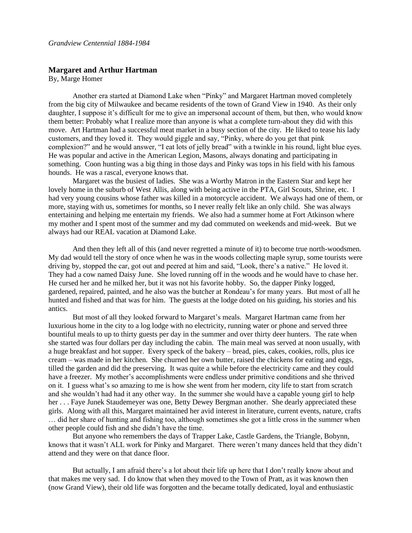## **Margaret and Arthur Hartman**

By, Marge Homer

Another era started at Diamond Lake when "Pinky" and Margaret Hartman moved completely from the big city of Milwaukee and became residents of the town of Grand View in 1940. As their only daughter, I suppose it's difficult for me to give an impersonal account of them, but then, who would know them better: Probably what I realize more than anyone is what a complete turn-about they did with this move. Art Hartman had a successful meat market in a busy section of the city. He liked to tease his lady customers, and they loved it. They would giggle and say, "Pinky, where do you get that pink complexion?" and he would answer, "I eat lots of jelly bread" with a twinkle in his round, light blue eyes. He was popular and active in the American Legion, Masons, always donating and participating in something. Coon hunting was a big thing in those days and Pinky was tops in his field with his famous hounds. He was a rascal, everyone knows that.

Margaret was the busiest of ladies. She was a Worthy Matron in the Eastern Star and kept her lovely home in the suburb of West Allis, along with being active in the PTA, Girl Scouts, Shrine, etc. I had very young cousins whose father was killed in a motorcycle accident. We always had one of them, or more, staying with us, sometimes for months, so I never really felt like an only child. She was always entertaining and helping me entertain my friends. We also had a summer home at Fort Atkinson where my mother and I spent most of the summer and my dad commuted on weekends and mid-week. But we always had our REAL vacation at Diamond Lake.

And then they left all of this (and never regretted a minute of it) to become true north-woodsmen. My dad would tell the story of once when he was in the woods collecting maple syrup, some tourists were driving by, stopped the car, got out and peered at him and said, "Look, there's a native." He loved it. They had a cow named Daisy June. She loved running off in the woods and he would have to chase her. He cursed her and he milked her, but it was not his favorite hobby. So, the dapper Pinky logged, gardened, repaired, painted, and he also was the butcher at Rondeau's for many years. But most of all he hunted and fished and that was for him. The guests at the lodge doted on his guiding, his stories and his antics.

But most of all they looked forward to Margaret's meals. Margaret Hartman came from her luxurious home in the city to a log lodge with no electricity, running water or phone and served three bountiful meals to up to thirty guests per day in the summer and over thirty deer hunters. The rate when she started was four dollars per day including the cabin. The main meal was served at noon usually, with a huge breakfast and hot supper. Every speck of the bakery – bread, pies, cakes, cookies, rolls, plus ice cream – was made in her kitchen. She churned her own butter, raised the chickens for eating and eggs, tilled the garden and did the preserving. It was quite a while before the electricity came and they could have a freezer. My mother's accomplishments were endless under primitive conditions and she thrived on it. I guess what's so amazing to me is how she went from her modern, city life to start from scratch and she wouldn't had had it any other way. In the summer she would have a capable young girl to help her . . . Faye Junek Staudemeyer was one, Betty Dewey Bergman another. She dearly appreciated these girls. Along with all this, Margaret maintained her avid interest in literature, current events, nature, crafts … did her share of hunting and fishing too, although sometimes she got a little cross in the summer when other people could fish and she didn't have the time.

But anyone who remembers the days of Trapper Lake, Castle Gardens, the Triangle, Bobynn, knows that it wasn't ALL work for Pinky and Margaret. There weren't many dances held that they didn't attend and they were on that dance floor.

But actually, I am afraid there's a lot about their life up here that I don't really know about and that makes me very sad. I do know that when they moved to the Town of Pratt, as it was known then (now Grand View), their old life was forgotten and the became totally dedicated, loyal and enthusiastic